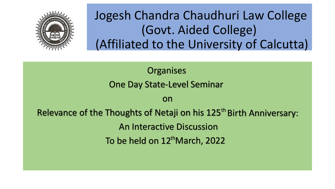

# Jogesh Chandra Chaudhuri Law College (Govt. Aided College) (Affiliated to the University of Calcutta)

**Organises** One Day State-Level Seminar

on

Relevance of the Thoughts of Netaji on his 125<sup>th</sup> Birth Anniversary: An Interactive Discussion To be held on 12<sup>th</sup>March, 2022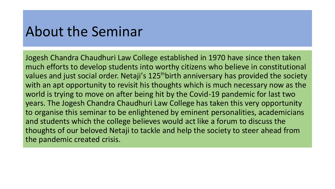### About the Seminar

situation.

Jogesh Chandra Chaudhuri Law College established in 1970 have since then taken much efforts to develop students into worthy citizens who believe in constitutional values and just social order. Netaji's 125<sup>th</sup>birth anniversary has provided the society with an apt opportunity to revisit his thoughts which is much necessary now as the world is trying to move on after being hit by the Covid-19 pandemic for last two years. The Jogesh Chandra Chaudhuri Law College has taken this very opportunity to organise this seminar to be enlightened by eminent personalities, academicians and students which the college believes would act like a forum to discuss the thoughts of our beloved Netaji to tackle and help the society to steer ahead from the pandemic created crisis.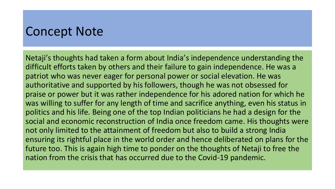### Concept Note

Netaji's thoughts had taken a form about India's independence understanding the difficult efforts taken by others and their failure to gain independence. He was a patriot who was never eager for personal power or social elevation. He was authoritative and supported by his followers, though he was not obsessed for praise or power but it was rather independence for his adored nation for which he was willing to suffer for any length of time and sacrifice anything, even his status in politics and his life. Being one of the top Indian politicians he had a design for the social and economic reconstruction of India once freedom came. His thoughts were not only limited to the attainment of freedom but also to build a strong India ensuring its rightful place in the world order and hence deliberated on plans for the future too. This is again high time to ponder on the thoughts of Netaji to free the nation from the crisis that has occurred due to the Covid-19 pandemic.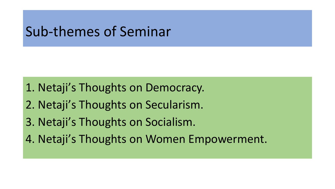# Sub-themes of Seminar

1. Netaji's Thoughts on Democracy.

- 2. Netaji's Thoughts on Secularism.
- 3. Netaji's Thoughts on Socialism.
- 4. Netaji's Thoughts on Women Empowerment.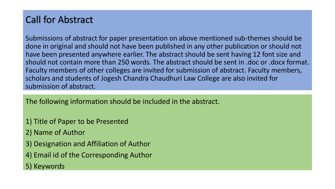### Call for Abstract

Submissions of abstract for paper presentation on above mentioned sub-themes should be done in original and should not have been published in any other publication or should not have been presented anywhere earlier. The abstract should be sent having 12 font size and should not contain more than 250 words. The abstract should be sent in .doc or .docx format. Faculty members of other colleges are invited for submission of abstract. Faculty members, scholars and students of Jogesh Chandra Chaudhuri Law College are also invited for submission of abstract.

The following information should be included in the abstract.

- 1) Title of Paper to be Presented
- 2) Name of Author
- 3) Designation and Affiliation of Author
- 4) Email id of the Corresponding Author
- 5) Keywords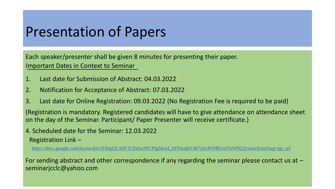# Presentation of Papers

Each speaker/presenter shall be given 8 minutes for presenting their paper. Important Dates in Context to Seminar

- 1. Last date for Submission of Abstract: 04.03.2022
- 2. Notification for Acceptance of Abstract: 07.03.2022
- 3. Last date for Online Registration: 09.03.2022 (No Registration Fee is required to be paid)

(Registration is mandatory. Registered candidates will have to give attendance on attendance sheet on the day of the Seminar. Participant/ Paper Presenter will receive certificate.)

#### 4. Scheduled date for the Seminar: 12.03.2022 Registration Link –

[https://docs.google.com/forms/d/e/1FAIpQLSdY1CEeSsJNCPfgIikorI\\_bFPntmbJ-M7jAxWNBGr4TtiW0LQ/viewform?usp=pp\\_url](https://docs.google.com/forms/d/e/1FAIpQLSdY1CEeSsJNCPfgIikorI_bFPntmbJ-M7jAxWNBGr4TtiW0LQ/viewform?usp=pp_url)

For sending abstract and other correspondence if any regarding the seminar please contact us at  $$ seminarjcclc@yahoo.com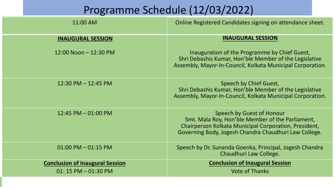### Programme Schedule (12/03/2022)

| 11:00 AM                               | Online Registered Candidates signing on attendance sheet.                                                                                                                                       |
|----------------------------------------|-------------------------------------------------------------------------------------------------------------------------------------------------------------------------------------------------|
| <b>INAUGURAL SESSION</b>               | <b>INAUGURAL SESSION</b>                                                                                                                                                                        |
| 12:00 Noon - 12:30 PM                  | Inauguration of the Programme by Chief Guest,<br>Shri Debashis Kumar, Hon'ble Member of the Legislative<br>Assembly, Mayor-In-Council, Kolkata Municipal Corporation.                           |
| $12:30$ PM $- 12:45$ PM                | Speech by Chief Guest,<br>Shri Debashis Kumar, Hon'ble Member of the Legislative<br>Assembly, Mayor-In-Council, Kolkata Municipal Corporation.                                                  |
| 12:45 PM $-$ 01:00 PM                  | Speech by Guest of Honour<br>Smt. Mala Roy, Hon'ble Member of the Parliament,<br>Chairperson Kolkata Municipal Corporation, President,<br>Governing Body, Jogesh Chandra Chaudhuri Law College. |
| $01:00$ PM $-01:15$ PM                 | Speech by Dr. Sunanda Goenka, Principal, Jogesh Chandra<br>Chaudhuri Law College.                                                                                                               |
| <b>Conclusion of Inaugural Session</b> | <b>Conclusion of Inaugural Session</b>                                                                                                                                                          |
| $01:15$ PM $-01:30$ PM                 | <b>Vote of Thanks</b>                                                                                                                                                                           |